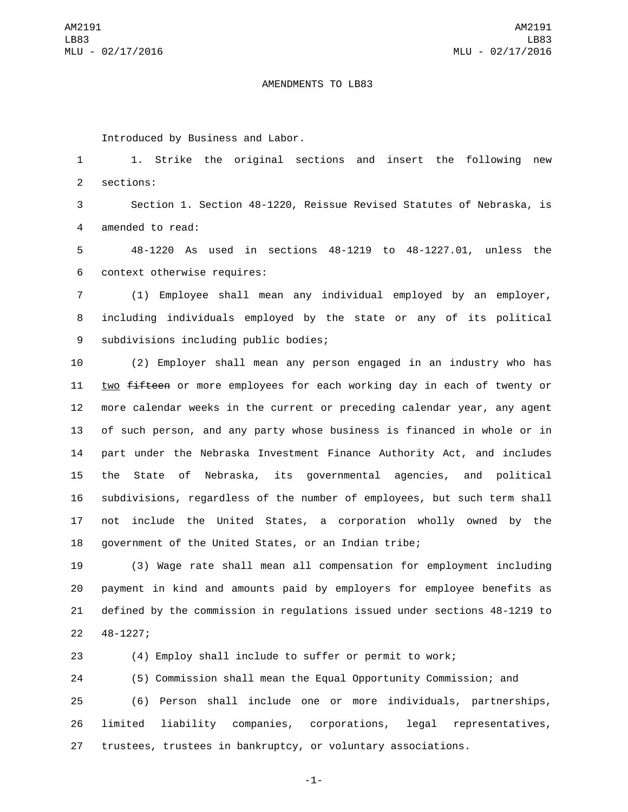## AMENDMENTS TO LB83

Introduced by Business and Labor.

1 1. Strike the original sections and insert the following new 2 sections:

3 Section 1. Section 48-1220, Reissue Revised Statutes of Nebraska, is 4 amended to read:

5 48-1220 As used in sections 48-1219 to 48-1227.01, unless the 6 context otherwise requires:

7 (1) Employee shall mean any individual employed by an employer, 8 including individuals employed by the state or any of its political 9 subdivisions including public bodies;

 (2) Employer shall mean any person engaged in an industry who has 11 two fifteen or more employees for each working day in each of twenty or more calendar weeks in the current or preceding calendar year, any agent of such person, and any party whose business is financed in whole or in part under the Nebraska Investment Finance Authority Act, and includes the State of Nebraska, its governmental agencies, and political subdivisions, regardless of the number of employees, but such term shall not include the United States, a corporation wholly owned by the government of the United States, or an Indian tribe;

 (3) Wage rate shall mean all compensation for employment including payment in kind and amounts paid by employers for employee benefits as defined by the commission in regulations issued under sections 48-1219 to 22 48-1227;

23 (4) Employ shall include to suffer or permit to work;

 (5) Commission shall mean the Equal Opportunity Commission; and (6) Person shall include one or more individuals, partnerships, limited liability companies, corporations, legal representatives, trustees, trustees in bankruptcy, or voluntary associations.

-1-